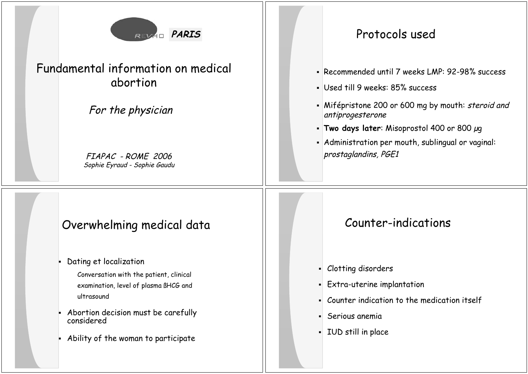

## Fundamental information on medical abortion

#### For the physician

FIAPAC - ROME 2006 Sophie Eyraud - Sophie Gaudu

## **PARIS PARIS Protocols used**

- Recommended until 7 weeks LMP: 92-98% success
- Used till 9 weeks: 85% success
- Mifépristone 200 or 600 mg by mouth: *steroid and* antiprogesterone
- **Two days later**: Misoprostol 400 or 800 g
- Administration per mouth, sublingual or vaginal: prostaglandins, PGE1

# Overwhelming medical data

Dating et localization

Conversation with the patient, clinical examination, level of plasma ßHCG and ultrasound

- Abortion decision must be carefully considered
- Ability of the woman to participate

# Counter-indications

- Clotting disorders
- $\blacksquare$  Extra-uterine implantation
- Counter indication to the medication itself
- Serious anemia
- IUD still in place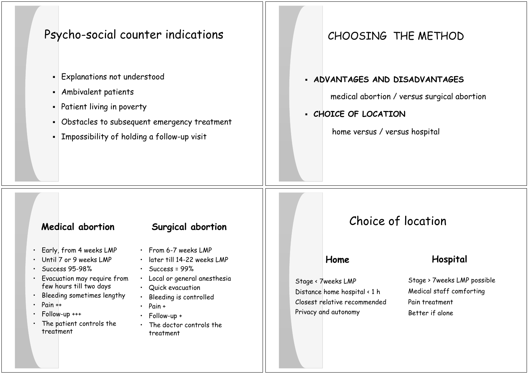## Psycho-social counter indications

- $\textcolor{red}{\bullet}$   $\mid$  Explanations not understood
- Ambivalent patients
- $\textcolor{orange}\blacksquare$  Patient living in poverty
- Obstacles to subsequent emergency treatment
- $\textsf{\textbf{I}}$  Impossibility of holding a follow-up visit

#### CHOOSING THE METHOD

#### **ADVANTAGES AND DISADVANTAGES**

medical abortion / versus surgical abortion

#### **CHOICE OF LOCATION**

home versus / versus hospital

- •Early, from 4 weeks LMP
- Until 7 or 9 weeks LMP
- •Success 95-98%
- Evacuation may require from few hours till two days
- •Bleeding sometimes lengthy
- •Pain ++
- •Follow-up +++
- The patient controls the treatment
- **Medical abortion Surgical abortion**
	- From 6-7 weeks LMP
	- later till 14-22 weeks LMP
	- Success = 99%
	- Local or general anesthesia
	- Quick evacuation
	- Bleeding is controlled
	- Pain +
	- Follow-up +
	- The doctor controls the treatment

## Choice of location

#### **Home**

Stage < 7weeks LMP Distance home hospital < 1 h Closest relative recommended Privacy and autonomy

#### **Hospital**

Stage > 7weeks LMP possible Medical staff comforting Pain treatment Better if alone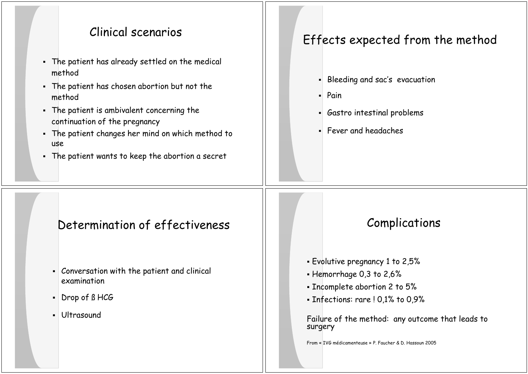#### Clinical scenarios

- The patient has already settled on the medical method
- The patient has chosen abortion but not the method
- The patient is ambivalent concerning the continuation of the pregnancy
- The patient changes her mind on which method to use
- The patient wants to keep the abortion a secret

# Effects expected from the method

- Bleeding and sac's evacuation
- Pain
- Gastro intestinal problems
- Fever and headaches

# Determination of effectiveness Fig. 1.1 Complications

- Conversation with the patient and clinical examination
- Drop of ß HCG
- Ultrasound

- Evolutive pregnancy 1 to 2,5%
- Hemorrhage 0,3 to 2,6%
- Incomplete abortion 2 to 5%
- Infections: rare ! 0,1% to 0,9%

Failure of the method: any outcome that leads to surgery

From « IVG médicamenteuse » P. Faucher & D. Hassoun 2005